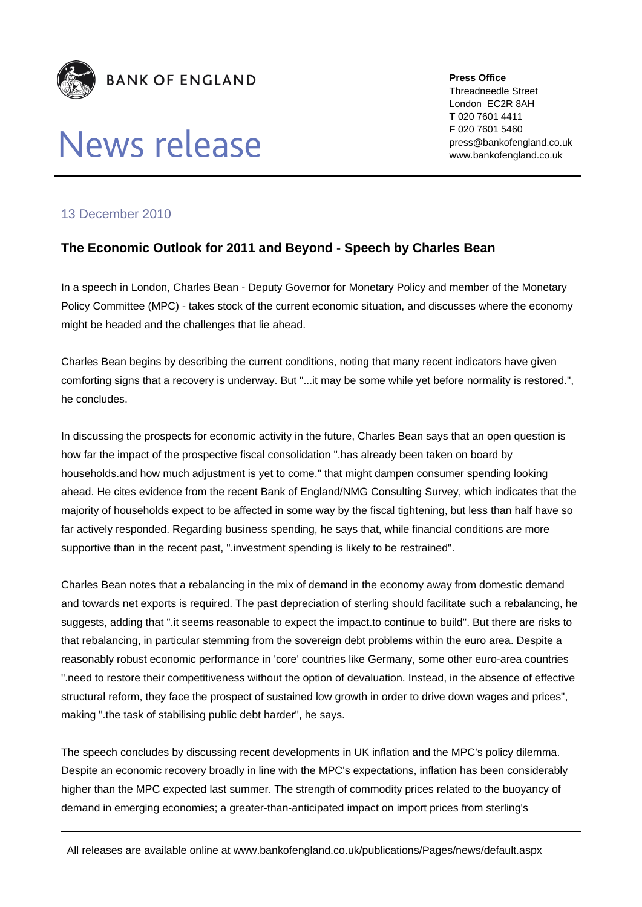

## News release

**Press Office** Threadneedle Street London EC2R 8AH **T** 020 7601 4411 **F** 020 7601 5460 press@bankofengland.co.uk www.bankofengland.co.uk

## 13 December 2010

## **The Economic Outlook for 2011 and Beyond - Speech by Charles Bean**

In a speech in London, Charles Bean - Deputy Governor for Monetary Policy and member of the Monetary Policy Committee (MPC) - takes stock of the current economic situation, and discusses where the economy might be headed and the challenges that lie ahead.

Charles Bean begins by describing the current conditions, noting that many recent indicators have given comforting signs that a recovery is underway. But "...it may be some while yet before normality is restored.", he concludes.

In discussing the prospects for economic activity in the future, Charles Bean says that an open question is how far the impact of the prospective fiscal consolidation ".has already been taken on board by households.and how much adjustment is yet to come." that might dampen consumer spending looking ahead. He cites evidence from the recent Bank of England/NMG Consulting Survey, which indicates that the majority of households expect to be affected in some way by the fiscal tightening, but less than half have so far actively responded. Regarding business spending, he says that, while financial conditions are more supportive than in the recent past, ".investment spending is likely to be restrained".

Charles Bean notes that a rebalancing in the mix of demand in the economy away from domestic demand and towards net exports is required. The past depreciation of sterling should facilitate such a rebalancing, he suggests, adding that ".it seems reasonable to expect the impact.to continue to build". But there are risks to that rebalancing, in particular stemming from the sovereign debt problems within the euro area. Despite a reasonably robust economic performance in 'core' countries like Germany, some other euro-area countries ".need to restore their competitiveness without the option of devaluation. Instead, in the absence of effective structural reform, they face the prospect of sustained low growth in order to drive down wages and prices", making ".the task of stabilising public debt harder", he says.

The speech concludes by discussing recent developments in UK inflation and the MPC's policy dilemma. Despite an economic recovery broadly in line with the MPC's expectations, inflation has been considerably higher than the MPC expected last summer. The strength of commodity prices related to the buoyancy of demand in emerging economies; a greater-than-anticipated impact on import prices from sterling's